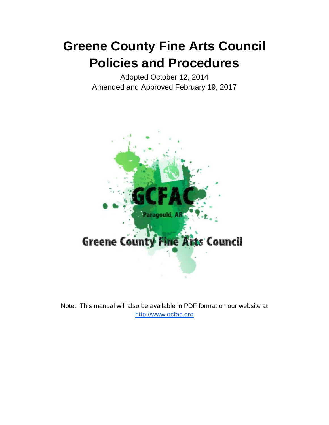# **Greene County Fine Arts Council Policies and Procedures**

Adopted October 12, 2014 Amended and Approved February 19, 2017



Note: This manual will also be available in PDF format on our website at [http://www.gcfac.org](http://www.gcfac.org/)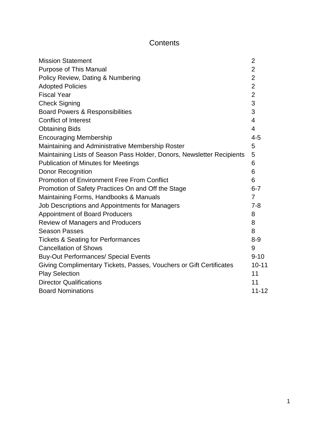# **Contents**

| <b>Mission Statement</b>                                               | 2              |
|------------------------------------------------------------------------|----------------|
| <b>Purpose of This Manual</b>                                          | $\overline{2}$ |
| Policy Review, Dating & Numbering                                      | $\overline{2}$ |
| <b>Adopted Policies</b>                                                | $\overline{2}$ |
| <b>Fiscal Year</b>                                                     | $\overline{2}$ |
| <b>Check Signing</b>                                                   | 3              |
| <b>Board Powers &amp; Responsibilities</b>                             | 3              |
| <b>Conflict of Interest</b>                                            | 4              |
| <b>Obtaining Bids</b>                                                  | $\overline{4}$ |
| <b>Encouraging Membership</b>                                          | $4 - 5$        |
| Maintaining and Administrative Membership Roster                       | 5              |
| Maintaining Lists of Season Pass Holder, Donors, Newsletter Recipients | 5              |
| <b>Publication of Minutes for Meetings</b>                             | 6              |
| <b>Donor Recognition</b>                                               | 6              |
| <b>Promotion of Environment Free From Conflict</b>                     | 6              |
| Promotion of Safety Practices On and Off the Stage                     | $6 - 7$        |
| Maintaining Forms, Handbooks & Manuals                                 | $\overline{7}$ |
| Job Descriptions and Appointments for Managers                         | $7 - 8$        |
| <b>Appointment of Board Producers</b>                                  | 8              |
| Review of Managers and Producers                                       | 8              |
| <b>Season Passes</b>                                                   | 8              |
| <b>Tickets &amp; Seating for Performances</b>                          | $8 - 9$        |
| <b>Cancellation of Shows</b>                                           | 9              |
| <b>Buy-Out Performances/ Special Events</b>                            | $9 - 10$       |
| Giving Complimentary Tickets, Passes, Vouchers or Gift Certificates    | $10 - 11$      |
| <b>Play Selection</b>                                                  | 11             |
| <b>Director Qualifications</b>                                         | 11             |
| <b>Board Nominations</b>                                               | $11 - 12$      |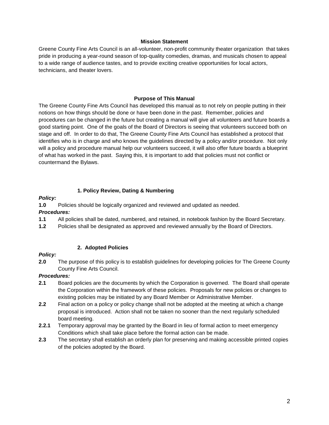#### **Mission Statement**

Greene County Fine Arts Council is an all-volunteer, non-profit community theater organization that takes pride in producing a year-round season of top-quality comedies, dramas, and musicals chosen to appeal to a wide range of audience tastes, and to provide exciting creative opportunities for local actors, technicians, and theater lovers.

#### **Purpose of This Manual**

The Greene County Fine Arts Council has developed this manual as to not rely on people putting in their notions on how things should be done or have been done in the past. Remember, policies and procedures can be changed in the future but creating a manual will give all volunteers and future boards a good starting point. One of the goals of the Board of Directors is seeing that volunteers succeed both on stage and off. In order to do that, The Greene County Fine Arts Council has established a protocol that identifies who is in charge and who knows the guidelines directed by a policy and/or procedure. Not only will a policy and procedure manual help our volunteers succeed, it will also offer future boards a blueprint of what has worked in the past. Saying this, it is important to add that policies must not conflict or countermand the Bylaws.

#### **1. Policy Review, Dating & Numbering**

#### *Policy:*

**1.0** Policies should be logically organized and reviewed and updated as needed.

#### *Procedures:*

- **1.1** All policies shall be dated, numbered, and retained, in notebook fashion by the Board Secretary.
- **1.2** Policies shall be designated as approved and reviewed annually by the Board of Directors.

#### **2. Adopted Policies**

#### *Policy:*

**2.0** The purpose of this policy is to establish guidelines for developing policies for The Greene County County Fine Arts Council.

- **2.1** Board policies are the documents by which the Corporation is governed. The Board shall operate the Corporation within the framework of these policies. Proposals for new policies or changes to existing policies may be initiated by any Board Member or Administrative Member.
- **2.2** Final action on a policy or policy change shall not be adopted at the meeting at which a change proposal is introduced. Action shall not be taken no sooner than the next regularly scheduled board meeting.
- **2.2.1** Temporary approval may be granted by the Board in lieu of formal action to meet emergency Conditions which shall take place before the formal action can be made.
- **2.3** The secretary shall establish an orderly plan for preserving and making accessible printed copies of the policies adopted by the Board.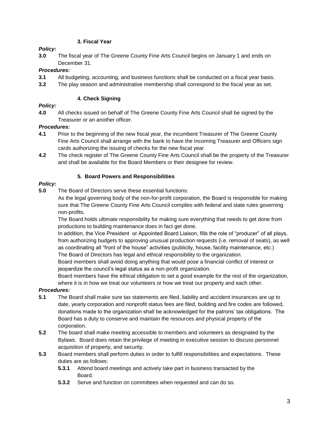# **3. Fiscal Year**

# *Policy:*

**3.0** The fiscal year of The Greene County Fine Arts Council begins on January 1 and ends on December 31.

# *Procedures:*

- **3.1** All budgeting, accounting, and business functions shall be conducted on a fiscal year basis.
- **3.2** The play season and administrative membership shall correspond to the fiscal year as set.

#### **4. Check Signing**

# *Policy:*

**4.0** All checks issued on behalf of The Greene County Fine Arts Council shall be signed by the Treasurer or an another officer.

# *Procedures:*

- **4.1** Prior to the beginning of the new fiscal year, the incumbent Treasurer of The Greene County Fine Arts Council shall arrange with the bank to have the incoming Treasurer and Officers sign cards authorizing the issuing of checks for the new fiscal year.
- **4.2** The check register of The Greene County Fine Arts Council shall be the property of the Treasurer and shall be available for the Board Members or their designee for review.

# **5. Board Powers and Responsibilities**

# *Policy:*

**5.0** The Board of Directors serve these essential functions:

As the legal governing body of the non-for-profit corporation, the Board is responsible for making sure that The Greene County Fine Arts Council complies with federal and state rules governing non-profits.

The Board holds ultimate responsibility for making sure everything that needs to get done from productions to building maintenance does in fact get done.

In addition, the Vice President or Appointed Board Liaison, fills the role of "producer" of all plays, from authorizing budgets to approving unusual production requests (i.e. removal of seats), as well as coordinating all "front of the house" activities (publicity, house, facility maintenance, etc.) The Board of Directors has legal and ethical responsibility to the organization.

Board members shall avoid doing anything that would pose a financial conflict of interest or jeopardize the council's legal status as a non-profit organization.

Board members have the ethical obligation to set a good example for the rest of the organization, where it is in how we treat our volunteers or how we treat our property and each other.

- **5.1** The Board shall make sure tax statements are filed, liability and accident insurances are up to date, yearly corporation and nonprofit status fees are filed, building and fire codes are followed, donations made to the organization shall be acknowledged for the patrons' tax obligations. The Board has a duty to conserve and maintain the resources and physical property of the corporation.
- **5.2** The board shall make meeting accessible to members and volunteers as designated by the Bylaws. Board does retain the privilege of meeting in executive session to discuss personnel acquisition of property, and security.
- **5.3** Board members shall perform duties in order to fulfill responsibilities and expectations. These duties are as follows:
	- **5.3.1** Attend board meetings and actively take part in business transacted by the Board.
	- **5.3.2** Serve and function on committees when requested and can do so.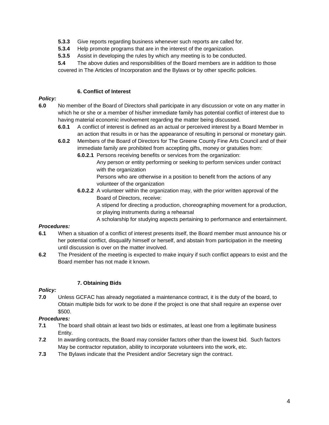- **5.3.3** Give reports regarding business whenever such reports are called for.
- **5.3.4** Help promote programs that are in the interest of the organization.
- **5.3.5** Assist in developing the rules by which any meeting is to be conducted.
- **5.4** The above duties and responsibilities of the Board members are in addition to those covered in The Articles of Incorporation and the Bylaws or by other specific policies.

#### **6. Conflict of Interest**

#### *Policy:*

- **6.0** No member of the Board of Directors shall participate in any discussion or vote on any matter in which he or she or a member of his/her immediate family has potential conflict of interest due to having material economic involvement regarding the matter being discussed.
	- **6.0.1** A conflict of interest is defined as an actual or perceived interest by a Board Member in an action that results in or has the appearance of resulting in personal or monetary gain.
	- **6.0.2** Members of the Board of Directors for The Greene County Fine Arts Council and of their immediate family are prohibited from accepting gifts, money or gratuities from:
		- **6.0.2.1** Persons receiving benefits or services from the organization:
			- Any person or entity performing or seeking to perform services under contract with the organization
			- Persons who are otherwise in a position to benefit from the actions of any volunteer of the organization
		- **6.0.2.2** A volunteer within the organization may, with the prior written approval of the Board of Directors, receive:

A stipend for directing a production, choreographing movement for a production, or playing instruments during a rehearsal

A scholarship for studying aspects pertaining to performance and entertainment.

# *Procedures:*

- **6.1** When a situation of a conflict of interest presents itself, the Board member must announce his or her potential conflict, disqualify himself or herself, and abstain from participation in the meeting until discussion is over on the matter involved.
- **6.2** The President of the meeting is expected to make inquiry if such conflict appears to exist and the Board member has not made it known.

#### **7. Obtaining Bids**

#### *Policy:*

**7.0** Unless GCFAC has already negotiated a maintenance contract, it is the duty of the board, to Obtain multiple bids for work to be done if the project is one that shall require an expense over \$500.

- **7.1** The board shall obtain at least two bids or estimates, at least one from a legitimate business Entity.
- **7.2** In awarding contracts, the Board may consider factors other than the lowest bid. Such factors May be contractor reputation, ability to incorporate volunteers into the work, etc.
- **7.3** The Bylaws indicate that the President and/or Secretary sign the contract.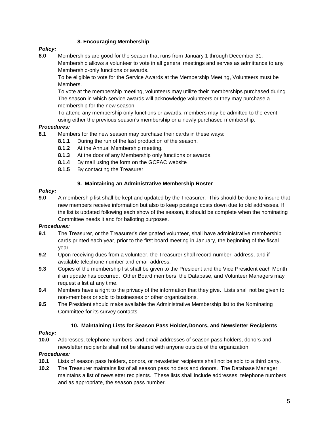# **8. Encouraging Membership**

# *Policy:*

**8.0** Memberships are good for the season that runs from January 1 through December 31. Membership allows a volunteer to vote in all general meetings and serves as admittance to any Membership-only functions or awards.

To be eligible to vote for the Service Awards at the Membership Meeting, Volunteers must be Members.

To vote at the membership meeting, volunteers may utilize their memberships purchased during The season in which service awards will acknowledge volunteers or they may purchase a membership for the new season.

To attend any membership only functions or awards, members may be admitted to the event using either the previous season's membership or a newly purchased membership.

# *Procedures:*

- **8.1** Members for the new season may purchase their cards in these ways:
	- **8.1.1** During the run of the last production of the season.
	- **8.1.2** At the Annual Membership meeting.
	- **8.1.3** At the door of any Membership only functions or awards.
	- **8.1.4** By mail using the form on the GCFAC website
	- **8.1.5** By contacting the Treasurer

#### **9. Maintaining an Administrative Membership Roster**

#### *Policy:*

**9.0** A membership list shall be kept and updated by the Treasurer. This should be done to insure that new members receive information but also to keep postage costs down due to old addresses. If the list is updated following each show of the season, it should be complete when the nominating Committee needs it and for balloting purposes.

# *Procedures:*

- **9.1** The Treasurer, or the Treasurer's designated volunteer, shall have administrative membership cards printed each year, prior to the first board meeting in January, the beginning of the fiscal year.
- **9.2** Upon receiving dues from a volunteer, the Treasurer shall record number, address, and if available telephone number and email address.
- **9.3** Copies of the membership list shall be given to the President and the Vice President each Month if an update has occurred. Other Board members, the Database, and Volunteer Managers may request a list at any time.
- **9.4** Members have a right to the privacy of the information that they give. Lists shall not be given to non-members or sold to businesses or other organizations.
- **9.5** The President should make available the Administrative Membership list to the Nominating Committee for its survey contacts.

#### **10. Maintaining Lists for Season Pass Holder,Donors, and Newsletter Recipients**

# *Policy:*

**10.0** Addresses, telephone numbers, and email addresses of season pass holders, donors and newsletter recipients shall not be shared with anyone outside of the organization.

- **10.1** Lists of season pass holders, donors, or newsletter recipients shall not be sold to a third party.
- **10.2** The Treasurer maintains list of all season pass holders and donors. The Database Manager maintains a list of newsletter recipients. These lists shall include addresses, telephone numbers, and as appropriate, the season pass number.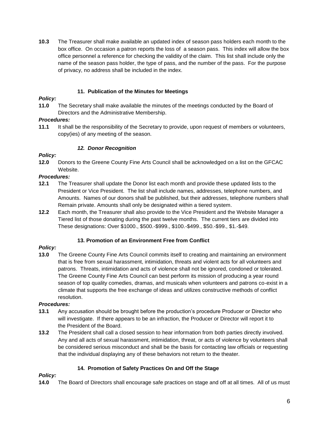**10.3** The Treasurer shall make available an updated index of season pass holders each month to the box office. On occasion a patron reports the loss of a season pass. This index will allow the box office personnel a reference for checking the validity of the claim. This list shall include only the name of the season pass holder, the type of pass, and the number of the pass. For the purpose of privacy, no address shall be included in the index.

# **11. Publication of the Minutes for Meetings**

# *Policy:*

**11.0** The Secretary shall make available the minutes of the meetings conducted by the Board of Directors and the Administrative Membership.

# *Procedures:*

**11.1** It shall be the responsibility of the Secretary to provide, upon request of members or volunteers, copy(ies) of any meeting of the season.

#### *12. Donor Recognition*

#### *Policy:*

**12.0** Donors to the Greene County Fine Arts Council shall be acknowledged on a list on the GFCAC Website.

# *Procedures:*

- **12.1** The Treasurer shall update the Donor list each month and provide these updated lists to the President or Vice President. The list shall include names, addresses, telephone numbers, and Amounts. Names of our donors shall be published, but their addresses, telephone numbers shall Remain private. Amounts shall only be designated within a tiered system.
- **12.2** Each month, the Treasurer shall also provide to the Vice President and the Website Manager a Tiered list of those donating during the past twelve months. The current tiers are divided into These designations: Over \$1000., \$500.-\$999., \$100.-\$499., \$50.-\$99., \$1.-\$49.

# **13. Promotion of an Environment Free from Conflict**

#### *Policy:*

**13.0** The Greene County Fine Arts Council commits itself to creating and maintaining an environment that is free from sexual harassment, intimidation, threats and violent acts for all volunteers and patrons. Threats, intimidation and acts of violence shall not be ignored, condoned or tolerated. The Greene County Fine Arts Council can best perform its mission of producing a year round season of top quality comedies, dramas, and musicals when volunteers and patrons co-exist in a climate that supports the free exchange of ideas and utilizes constructive methods of conflict resolution.

# *Procedures:*

- **13.1** Any accusation should be brought before the production's procedure Producer or Director who will investigate. If there appears to be an infraction, the Producer or Director will report it to the President of the Board.
- **13.2** The President shall call a closed session to hear information from both parties directly involved. Any and all acts of sexual harassment, intimidation, threat, or acts of violence by volunteers shall be considered serious misconduct and shall be the basis for contacting law officials or requesting that the individual displaying any of these behaviors not return to the theater.

# **14. Promotion of Safety Practices On and Off the Stage**

# *Policy:*

**14.0** The Board of Directors shall encourage safe practices on stage and off at all times. All of us must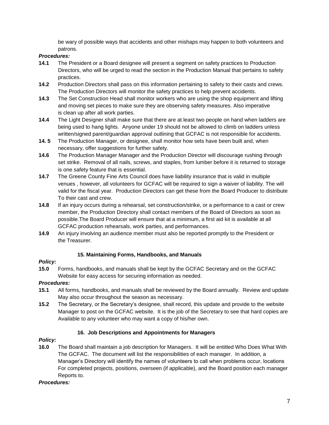be wary of possible ways that accidents and other mishaps may happen to both volunteers and patrons.

# *Procedures:*

- **14.1** The President or a Board designee will present a segment on safety practices to Production Directors, who will be urged to read the section in the Production Manual that pertains to safety practices.
- **14.2** Production Directors shall pass on this information pertaining to safety to their casts and crews. The Production Directors will monitor the safety practices to help prevent accidents.
- **14.3** The Set Construction Head shall monitor workers who are using the shop equipment and lifting and moving set pieces to make sure they are observing safety measures. Also imperative is clean up after all work parties.
- **14.4** The Light Designer shall make sure that there are at least two people on hand when ladders are being used to hang lights. Anyone under 19 should not be allowed to climb on ladders unless written/signed parent/guardian approval outlining that GCFAC is not responsible for accidents.
- **14. 5** The Production Manager, or designee, shall monitor how sets have been built and, when necessary, offer suggestions for further safety.
- **14.6** The Production Manager Manager and the Production Director will discourage rushing through set strike. Removal of all nails, screws, and staples, from lumber before it is returned to storage is one safety feature that is essential.
- **14.7** The Greene County Fine Arts Council does have liability insurance that is valid in multiple venues , however, all volunteers for GCFAC will be required to sign a waiver of liability. The will valid for the fiscal year. Production Directors can get these from the Board Producer to distribute To their cast and crew.
- **14.8** If an injury occurs during a rehearsal, set construction/strike, or a performance to a cast or crew member, the Production Directory shall contact members of the Board of Directors as soon as possible.The Board Producer will ensure that at a minimum, a first aid kit is available at all GCFAC production rehearsals, work parties, and performances.
- **14.9** An injury involving an audience member must also be reported promptly to the President or the Treasurer.

# **15. Maintaining Forms, Handbooks, and Manuals**

# *Policy:*

**15.0** Forms, handbooks, and manuals shall be kept by the GCFAC Secretary and on the GCFAC Website for easy access for securing information as needed.

# *Procedures:*

- **15.1** All forms, handbooks, and manuals shall be reviewed by the Board annually. Review and update May also occur throughout the season as necessary.
- **15.2** The Secretary, or the Secretary's designee, shall record, this update and provide to the website Manager to post on the GCFAC website. It is the job of the Secretary to see that hard copies are Available to any volunteer who may want a copy of his/her own.

# **16. Job Descriptions and Appointments for Managers**

# *Policy:*

**16.0** The Board shall maintain a job description for Managers. It will be entitled Who Does What With The GCFAC. The document will list the responsibilities of each manager. In addition, a Manager's Directory will identify the names of volunteers to call when problems occur, locations For completed projects, positions, overseen (if applicable), and the Board position each manager Reports to.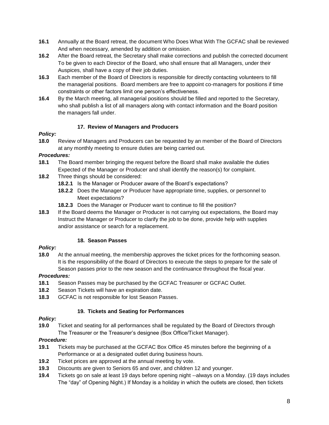- **16.1** Annually at the Board retreat, the document Who Does What With The GCFAC shall be reviewed And when necessary, amended by addition or omission.
- **16.2** After the Board retreat, the Secretary shall make corrections and publish the corrected document To be given to each Director of the Board, who shall ensure that all Managers, under their Auspices, shall have a copy of their job duties.
- **16.3** Each member of the Board of Directors is responsible for directly contacting volunteers to fill the managerial positions. Board members are free to appoint co-managers for positions if time constraints or other factors limit one person's effectiveness.
- **16.4** By the March meeting, all managerial positions should be filled and reported to the Secretary, who shall publish a list of all managers along with contact information and the Board position the managers fall under.

# **17. Review of Managers and Producers**

# *Policy:*

**18.0** Review of Managers and Producers can be requested by an member of the Board of Directors at any monthly meeting to ensure duties are being carried out.

# *Procedures:*

- **18.1** The Board member bringing the request before the Board shall make available the duties Expected of the Manager or Producer and shall identify the reason(s) for complaint.
- **18.2** Three things should be considered:
	- **18.2.1** Is the Manager or Producer aware of the Board's expectations?
	- **18.2.2** Does the Manager or Producer have appropriate time, supplies, or personnel to Meet expectations?
	- **18.2.3** Does the Manager or Producer want to continue to fill the position?
- **18.3** If the Board deems the Manager or Producer is not carrying out expectations, the Board may Instruct the Manager or Producer to clarify the job to be done, provide help with supplies and/or assistance or search for a replacement.

# **18. Season Passes**

# *Policy:*

**18.0** At the annual meeting, the membership approves the ticket prices for the forthcoming season. It is the responsibility of the Board of Directors to execute the steps to prepare for the sale of Season passes prior to the new season and the continuance throughout the fiscal year.

# *Procedures:*

- **18.1** Season Passes may be purchased by the GCFAC Treasurer or GCFAC Outlet.
- **18.2** Season Tickets will have an expiration date.
- **18.3** GCFAC is not responsible for lost Season Passes.

# **19. Tickets and Seating for Performances**

# *Policy:*

**19.0** Ticket and seating for all performances shall be regulated by the Board of Directors through The Treasurer or the Treasurer's designee (Box Office/Ticket Manager).

- **19.1** Tickets may be purchased at the GCFAC Box Office 45 minutes before the beginning of a Performance or at a designated outlet during business hours.
- **19.2** Ticket prices are approved at the annual meeting by vote.
- **19.3** Discounts are given to Seniors 65 and over, and children 12 and younger.
- **19.4** Tickets go on sale at least 19 days before opening night --always on a Monday. (19 days includes The "day" of Opening Night.) If Monday is a holiday in which the outlets are closed, then tickets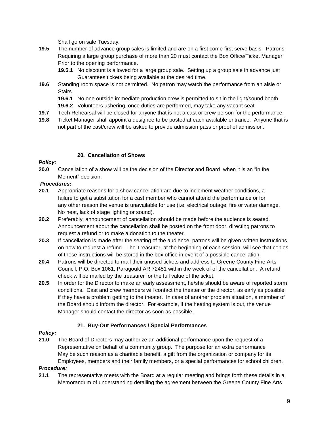Shall go on sale Tuesday.

- **19.5** The number of advance group sales is limited and are on a first come first serve basis. Patrons Requiring a large group purchase of more than 20 must contact the Box Office/Ticket Manager Prior to the opening performance.
	- **19.5.1** No discount is allowed for a large group sale. Setting up a group sale in advance just Guarantees tickets being available at the desired time.
- **19.6** Standing room space is not permitted. No patron may watch the performance from an aisle or Stairs.
	- **19.6.1** No one outside immediate production crew is permitted to sit in the light/sound booth.
	- **19.6.2** Volunteers ushering, once duties are performed, may take any vacant seat.
- **19.7** Tech Rehearsal will be closed for anyone that is not a cast or crew person for the performance.
- **19.8** Ticket Manager shall appoint a designee to be posted at each available entrance. Anyone that is not part of the cast/crew will be asked to provide admission pass or proof of admission.

#### **20. Cancellation of Shows**

#### *Policy:*

**20.0** Cancellation of a show will be the decision of the Director and Board when it is an "in the Moment" decision.

#### *Procedures:*

- **20.1** Appropriate reasons for a show cancellation are due to inclement weather conditions, a failure to get a substitution for a cast member who cannot attend the performance or for any other reason the venue is unavailable for use (i.e. electrical outage, fire or water damage, No heat, lack of stage lighting or sound).
- **20.2** Preferably, announcement of cancellation should be made before the audience is seated. Announcement about the cancellation shall be posted on the front door, directing patrons to request a refund or to make a donation to the theater.
- **20.3** If cancellation is made after the seating of the audience, patrons will be given written instructions on how to request a refund. The Treasurer, at the beginning of each session, will see that copies of these instructions will be stored in the box office in event of a possible cancellation.
- **20.4** Patrons will be directed to mail their unused tickets and address to Greene County Fine Arts Council, P.O. Box 1061, Paragould AR 72451 within the week of of the cancellation. A refund check will be mailed by the treasurer for the full value of the ticket.
- **20.5** In order for the Director to make an early assessment, he/she should be aware of reported storm conditions. Cast and crew members will contact the theater or the director, as early as possible, if they have a problem getting to the theater. In case of another problem situation, a member of the Board should inform the director. For example, if the heating system is out, the venue Manager should contact the director as soon as possible.

# **21. Buy-Out Performances / Special Performances**

# *Policy:*

**21.0** The Board of Directors may authorize an additional performance upon the request of a Representative on behalf of a community group. The purpose for an extra performance May be such reason as a charitable benefit, a gift from the organization or company for its Employees, members and their family members, or a special performances for school children.

#### *Procedure:*

**21.1** The representative meets with the Board at a regular meeting and brings forth these details in a Memorandum of understanding detailing the agreement between the Greene County Fine Arts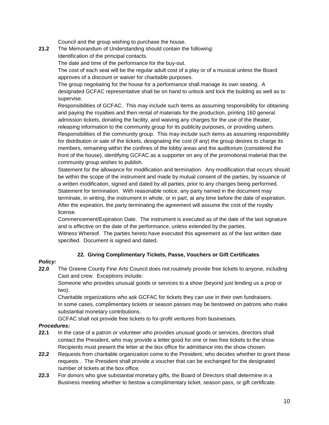Council and the group wishing to purchase the house.

**21.2** The Memorandum of Understanding should contain the following: Identification of the principal contacts.

The date and time of the performance for the buy-out.

The cost of each seat will be the regular adult cost of a play or of a musical unless the Board approves of a discount or waiver for charitable purposes.

The group negotiating for the house for a performance shall manage its own seating. A designated GCFAC representative shall be on hand to unlock and lock the building as well as to supervise.

Responsibilities of GCFAC. This may include such items as assuming responsibility for obtaining and paying the royalties and then rental of materials for the production, printing 160 general admission tickets, donating the facility, and waiving any charges for the use of the theater, releasing information to the community group for its publicity purposes, or providing ushers. Responsibilities of the community group. This may include such items as assuming responsibility for distribution or sale of the tickets, designating the cost (if any) the group desires to charge its members, remaining within the confines of the lobby areas and the auditorium (considered the front of the house), identifying GCFAC as a supporter on any of the promotional material that the community group wishes to publish.

Statement for the allowance for modification and termination. Any modification that occurs should be within the scope of the instrument and made by mutual consent of the parties, by issuance of a written modification, signed and dated by all parties, prior to any changes being performed. Statement for termination. With reasonable notice, any party named in the document may terminate, in writing, the instrument in whole, or in part, at any time before the date of expiration. After the expiration, the party terminating the agreement will assume the cost of the royalty license.

Commencement/Expiration Date. The instrument is executed as of the date of the last signature and is effective on the date of the performance, unless extended by the parties.

Witness Whereof. The parties hereto have executed this agreement as of the last written date specified. Document is signed and dated.

# **22. Giving Complimentary Tickets, Passe, Vouchers or Gift Certificates**

# *Policy:*

**22.0** The Greene County Fine Arts Council does not routinely provide free tickets to anyone, including Cast and crew. Exceptions include:

Someone who provides unusual goods or services to a show (beyond just lending us a prop or two).

Charitable organizations who ask GCFAC for tickets they can use in their own fundraisers. In some cases, complimentary tickets or season passes may be bestowed on patrons who make substantial monetary contributions.

GCFAC shall not provide free tickets to for-profit ventures from businesses.

- **22.1** In the case of a patron or volunteer who provides unusual goods or services, directors shall contact the President, who may provide a letter good for one or two free tickets to the show. Recipients must present the letter at the box office for admittance into the show chosen.
- **22.2** Requests from charitable organization come to the President, who decides whether to grant these requests . The President shall provide a voucher that can be exchanged for the designated number of tickets at the box office.
- **22.3** For donors who give substantial monetary gifts, the Board of Directors shall determine in a Business meeting whether to bestow a complimentary ticket, season pass, or gift certificate.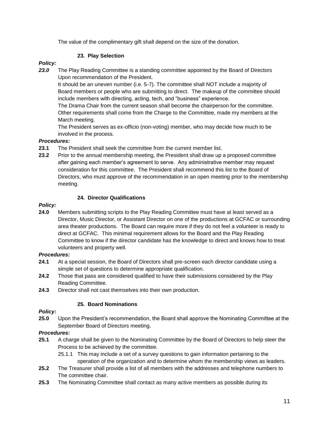The value of the complimentary gift shall depend on the size of the donation.

# **23. Play Selection**

# *Policy:*

*23.0* The Play Reading Committee is a standing committee appointed by the Board of Directors Upon recommendation of the President.

It should be an uneven number (i.e. 5-7). The committee shall NOT include a majority of Board members or people who are submitting to direct. The makeup of the committee should include members with directing, acting, tech, and "business" experience.

The Drama Chair from the current season shall become the chairperson for the committee. Other requirements shall come from the Charge to the Committee, made my members at the March meeting.

The President serves as ex-officio (non-voting) member, who may decide how much to be involved in the process.

# *Procedures:*

- **23.1** The President shall seek the committee from the current member list.
- **23.2** Prior to the annual membership meeting, the President shall draw up a proposed committee after gaining each member's agreement to serve. Any administrative member may request consideration for this committee. The President shall recommend this list to the Board of Directors, who must approve of the recommendation in an open meeting prior to the membership meeting.

#### **24. Director Qualifications**

#### *Policy:*

**24.0** Members submitting scripts to the Play Reading Committee must have at least served as a Director, Music Director, or Assistant Director on one of the productions at GCFAC or surrounding area theater productions. The Board can require more if they do not feel a volunteer is ready to direct at GCFAC. This minimal requirement allows for the Board and the Play Reading Committee to know if the director candidate has the knowledge to direct and knows how to treat volunteers and property well.

# *Procedures:*

- **24.1** At a special session, the Board of Directors shall pre-screen each director candidate using a simple set of questions to determine appropriate qualification.
- **24.2** Those that pass are considered qualified to have their submissions considered by the Play Reading Committee.
- **24.3** Director shall not cast themselves into their own production.

# **25. Board Nominations**

#### *Policy:*

**25.0** Upon the President's recommendation, the Board shall approve the Nominating Committee at the September Board of Directors meeting.

- **25.1** A charge shall be given to the Nominating Committee by the Board of Directors to help steer the Process to be achieved by the committee.
	- 25.1.1 This may include a set of a survey questions to gain information pertaining to the operation of the organization and to determine whom the membership views as leaders.
- **25.2** The Treasurer shall provide a list of all members with the addresses and telephone numbers to The committee chair.
- **25.3** The Nominating Committee shall contact as many active members as possible during its